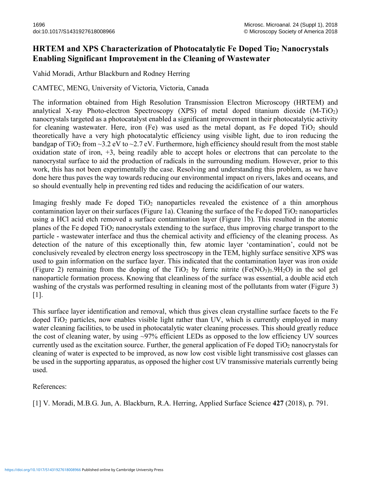## **HRTEM and XPS Characterization of Photocatalytic Fe Doped Tio2 Nanocrystals Enabling Significant Improvement in the Cleaning of Wastewater**

Vahid Moradi, Arthur Blackburn and Rodney Herring

CAMTEC, MENG, University of Victoria, Victoria, Canada

The information obtained from High Resolution Transmission Electron Microscopy (HRTEM) and analytical X-ray Photo-electron Spectroscopy (XPS) of metal doped titanium dioxide  $(M-TiO<sub>2</sub>)$ nanocrystals targeted as a photocatalyst enabled a significant improvement in their photocatalytic activity for cleaning wastewater. Here, iron (Fe) was used as the metal dopant, as Fe doped  $TiO<sub>2</sub>$  should theoretically have a very high photocatalytic efficiency using visible light, due to iron reducing the bandgap of TiO<sub>2</sub> from  $\sim$ 3.2 eV to  $\sim$ 2.7 eV. Furthermore, high efficiency should result from the most stable oxidation state of iron, +3, being readily able to accept holes or electrons that can percolate to the nanocrystal surface to aid the production of radicals in the surrounding medium. However, prior to this work, this has not been experimentally the case. Resolving and understanding this problem, as we have done here thus paves the way towards reducing our environmental impact on rivers, lakes and oceans, and so should eventually help in preventing red tides and reducing the acidification of our waters.

Imaging freshly made Fe doped  $TiO<sub>2</sub>$  nanoparticles revealed the existence of a thin amorphous contamination layer on their surfaces (Figure 1a). Cleaning the surface of the Fe doped  $TiO<sub>2</sub>$  nanoparticles using a HCl acid etch removed a surface contamination layer (Figure 1b). This resulted in the atomic planes of the Fe doped TiO2 nanocrystals extending to the surface, thus improving charge transport to the particle - wastewater interface and thus the chemical activity and efficiency of the cleaning process. As detection of the nature of this exceptionally thin, few atomic layer 'contamination', could not be conclusively revealed by electron energy loss spectroscopy in the TEM, highly surface sensitive XPS was used to gain information on the surface layer. This indicated that the contamination layer was iron oxide (Figure 2) remaining from the doping of the TiO<sub>2</sub> by ferric nitrite (Fe(NO<sub>3</sub>)<sub>3</sub>.9H<sub>2</sub>O) in the sol gel nanoparticle formation process. Knowing that cleanliness of the surface was essential, a double acid etch washing of the crystals was performed resulting in cleaning most of the pollutants from water (Figure 3) [1].

This surface layer identification and removal, which thus gives clean crystalline surface facets to the Fe doped TiO<sub>2</sub> particles, now enables visible light rather than UV, which is currently employed in many water cleaning facilities, to be used in photocatalytic water cleaning processes. This should greatly reduce the cost of cleaning water, by using ~97% efficient LEDs as opposed to the low efficiency UV sources currently used as the excitation source. Further, the general application of Fe doped  $TiO<sub>2</sub>$  nanocrystals for cleaning of water is expected to be improved, as now low cost visible light transmissive cost glasses can be used in the supporting apparatus, as opposed the higher cost UV transmissive materials currently being used.

References:

[1] V. Moradi, M.B.G. Jun, A. Blackburn, R.A. Herring, Applied Surface Science **427** (2018), p. 791.